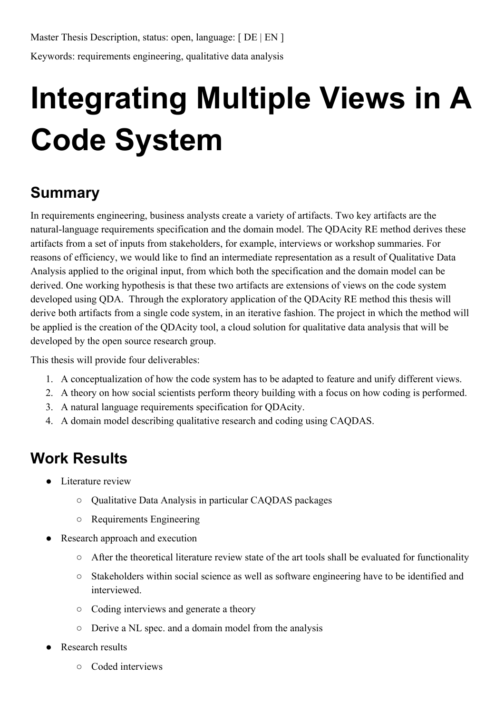## **Integrating Multiple Views in A Code System**

## **Summary**

In requirements engineering, business analysts create a variety of artifacts. Two key artifacts are the natural-language requirements specification and the domain model. The QDAcity RE method derives these artifacts from a set of inputs from stakeholders, for example, interviews or workshop summaries. For reasons of efficiency, we would like to find an intermediate representation as a result of Qualitative Data Analysis applied to the original input, from which both the specification and the domain model can be derived. One working hypothesis is that these two artifacts are extensions of views on the code system developed using QDA. Through the exploratory application of the QDAcity RE method this thesis will derive both artifacts from a single code system, in an iterative fashion. The project in which the method will be applied is the creation of the QDAcity tool, a cloud solution for qualitative data analysis that will be developed by the open source research group.

This thesis will provide four deliverables:

- 1. A conceptualization of how the code system has to be adapted to feature and unify different views.
- 2. A theory on how social scientists perform theory building with a focus on how coding is performed.
- 3. A natural language requirements specification for QDAcity.
- 4. A domain model describing qualitative research and coding using CAQDAS.

## **Work Results**

- Literature review
	- Qualitative Data Analysis in particular CAQDAS packages
	- Requirements Engineering
- Research approach and execution
	- After the theoretical literature review state of the art tools shall be evaluated for functionality
	- Stakeholders within social science as well as software engineering have to be identified and interviewed.
	- Coding interviews and generate a theory
	- Derive a NL spec. and a domain model from the analysis
- **Research results** 
	- Coded interviews